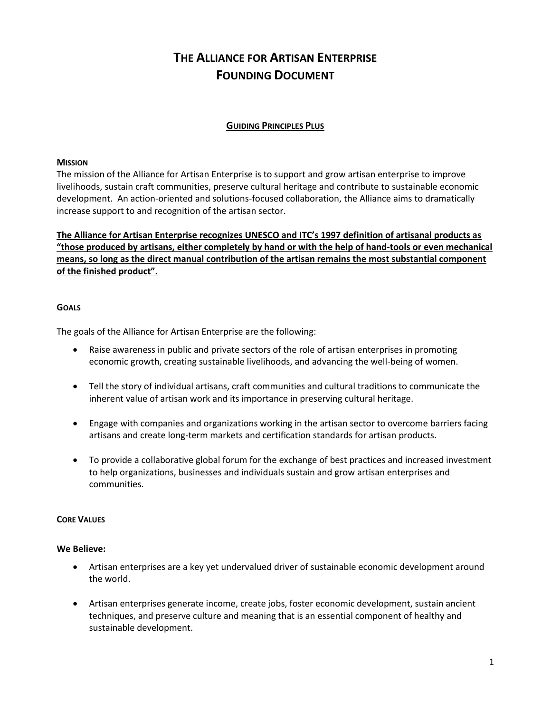# **THE ALLIANCE FOR ARTISAN ENTERPRISE FOUNDING DOCUMENT**

# **GUIDING PRINCIPLES PLUS**

## **MISSION**

The mission of the Alliance for Artisan Enterprise is to support and grow artisan enterprise to improve livelihoods, sustain craft communities, preserve cultural heritage and contribute to sustainable economic development. An action-oriented and solutions-focused collaboration, the Alliance aims to dramatically increase support to and recognition of the artisan sector.

**The Alliance for Artisan Enterprise recognizes UNESCO and ITC's 1997 definition of artisanal products as "those produced by artisans, either completely by hand or with the help of hand-tools or even mechanical means, so long as the direct manual contribution of the artisan remains the most substantial component of the finished product".**

## **GOALS**

The goals of the Alliance for Artisan Enterprise are the following:

- Raise awareness in public and private sectors of the role of artisan enterprises in promoting economic growth, creating sustainable livelihoods, and advancing the well-being of women.
- Tell the story of individual artisans, craft communities and cultural traditions to communicate the inherent value of artisan work and its importance in preserving cultural heritage.
- Engage with companies and organizations working in the artisan sector to overcome barriers facing artisans and create long-term markets and certification standards for artisan products.
- To provide a collaborative global forum for the exchange of best practices and increased investment to help organizations, businesses and individuals sustain and grow artisan enterprises and communities.

## **CORE VALUES**

## **We Believe:**

- Artisan enterprises are a key yet undervalued driver of sustainable economic development around the world.
- Artisan enterprises generate income, create jobs, foster economic development, sustain ancient techniques, and preserve culture and meaning that is an essential component of healthy and sustainable development.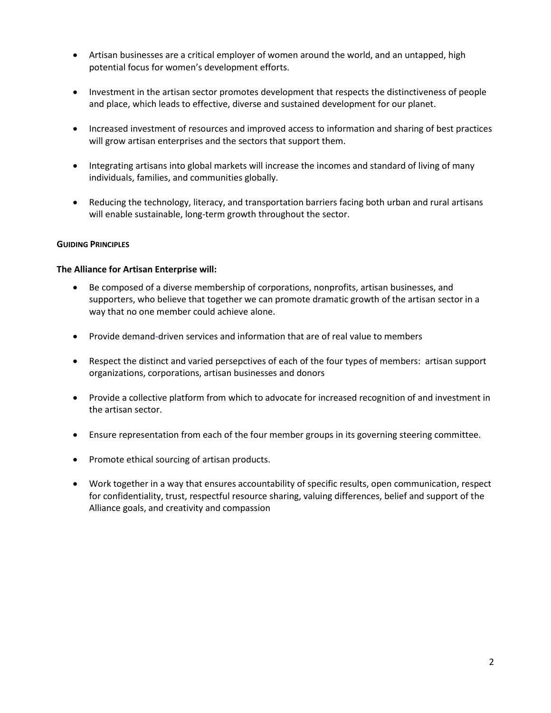- Artisan businesses are a critical employer of women around the world, and an untapped, high potential focus for women's development efforts.
- Investment in the artisan sector promotes development that respects the distinctiveness of people and place, which leads to effective, diverse and sustained development for our planet.
- Increased investment of resources and improved access to information and sharing of best practices will grow artisan enterprises and the sectors that support them.
- Integrating artisans into global markets will increase the incomes and standard of living of many individuals, families, and communities globally.
- Reducing the technology, literacy, and transportation barriers facing both urban and rural artisans will enable sustainable, long-term growth throughout the sector.

## **GUIDING PRINCIPLES**

## **The Alliance for Artisan Enterprise will:**

- Be composed of a diverse membership of corporations, nonprofits, artisan businesses, and supporters, who believe that together we can promote dramatic growth of the artisan sector in a way that no one member could achieve alone.
- Provide demand-driven services and information that are of real value to members
- Respect the distinct and varied persepctives of each of the four types of members: artisan support organizations, corporations, artisan businesses and donors
- Provide a collective platform from which to advocate for increased recognition of and investment in the artisan sector.
- Ensure representation from each of the four member groups in its governing steering committee.
- Promote ethical sourcing of artisan products.
- Work together in a way that ensures accountability of specific results, open communication, respect for confidentiality, trust, respectful resource sharing, valuing differences, belief and support of the Alliance goals, and creativity and compassion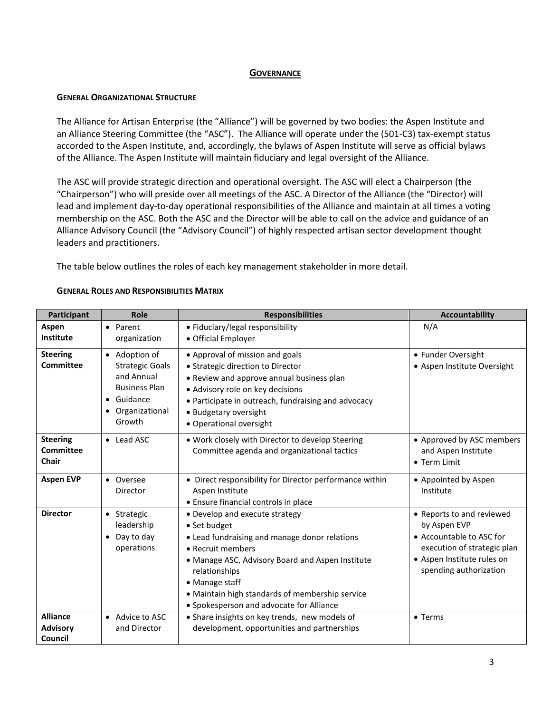## **GOVERNANCE**

## **GENERAL ORGANIZATIONAL STRUCTURE**

The Alliance for Artisan Enterprise (the "Alliance") will be governed by two bodies: the Aspen Institute and an Alliance Steering Committee (the "ASC"). The Alliance will operate under the (501-C3) tax-exempt status accorded to the Aspen Institute, and, accordingly, the bylaws of Aspen Institute will serve as official bylaws of the Alliance. The Aspen Institute will maintain fiduciary and legal oversight of the Alliance.

The ASC will provide strategic direction and operational oversight. The ASC will elect a Chairperson (the "Chairperson") who will preside over all meetings of the ASC. A Director of the Alliance (the "Director) will lead and implement day-to-day operational responsibilities of the Alliance and maintain at all times a voting membership on the ASC. Both the ASC and the Director will be able to call on the advice and guidance of an Alliance Advisory Council (the "Advisory Council") of highly respected artisan sector development thought leaders and practitioners.

The table below outlines the roles of each key management stakeholder in more detail.

| Participant                                   | Role                                                                                                                      | <b>Responsibilities</b>                                                                                                                                                                                                                                                                                    | <b>Accountability</b>                                                                                                                                        |
|-----------------------------------------------|---------------------------------------------------------------------------------------------------------------------------|------------------------------------------------------------------------------------------------------------------------------------------------------------------------------------------------------------------------------------------------------------------------------------------------------------|--------------------------------------------------------------------------------------------------------------------------------------------------------------|
| Aspen<br>Institute                            | • Parent<br>organization                                                                                                  | • Fiduciary/legal responsibility<br>• Official Employer                                                                                                                                                                                                                                                    | N/A                                                                                                                                                          |
| <b>Steering</b><br><b>Committee</b>           | • Adoption of<br><b>Strategic Goals</b><br>and Annual<br><b>Business Plan</b><br>• Guidance<br>• Organizational<br>Growth | • Approval of mission and goals<br>• Strategic direction to Director<br>• Review and approve annual business plan<br>· Advisory role on key decisions<br>• Participate in outreach, fundraising and advocacy<br>• Budgetary oversight<br>• Operational oversight                                           | • Funder Oversight<br>• Aspen Institute Oversight                                                                                                            |
| <b>Steering</b><br>Committee<br><b>Chair</b>  | • Lead ASC                                                                                                                | . Work closely with Director to develop Steering<br>Committee agenda and organizational tactics                                                                                                                                                                                                            | • Approved by ASC members<br>and Aspen Institute<br>• Term Limit                                                                                             |
| <b>Aspen EVP</b>                              | • Oversee<br>Director                                                                                                     | • Direct responsibility for Director performance within<br>Aspen Institute<br>• Ensure financial controls in place                                                                                                                                                                                         | • Appointed by Aspen<br>Institute                                                                                                                            |
| <b>Director</b>                               | • Strategic<br>leadership<br>Day to day<br>operations                                                                     | • Develop and execute strategy<br>• Set budget<br>• Lead fundraising and manage donor relations<br>• Recruit members<br>• Manage ASC, Advisory Board and Aspen Institute<br>relationships<br>• Manage staff<br>• Maintain high standards of membership service<br>• Spokesperson and advocate for Alliance | • Reports to and reviewed<br>by Aspen EVP<br>• Accountable to ASC for<br>execution of strategic plan<br>• Aspen Institute rules on<br>spending authorization |
| <b>Alliance</b><br><b>Advisory</b><br>Council | • Advice to ASC<br>and Director                                                                                           | • Share insights on key trends, new models of<br>development, opportunities and partnerships                                                                                                                                                                                                               | • Terms                                                                                                                                                      |

#### **GENERAL ROLES AND RESPONSIBILITIES MATRIX**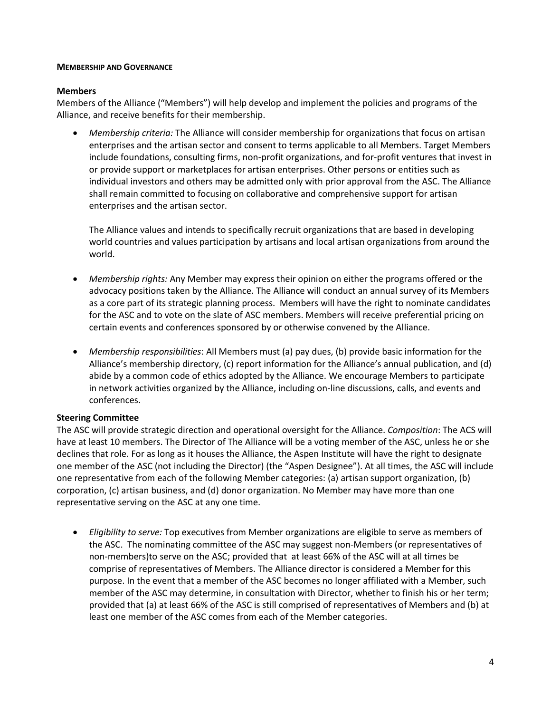#### **MEMBERSHIP AND GOVERNANCE**

## **Members**

Members of the Alliance ("Members") will help develop and implement the policies and programs of the Alliance, and receive benefits for their membership.

 *Membership criteria:* The Alliance will consider membership for organizations that focus on artisan enterprises and the artisan sector and consent to terms applicable to all Members. Target Members include foundations, consulting firms, non-profit organizations, and for-profit ventures that invest in or provide support or marketplaces for artisan enterprises. Other persons or entities such as individual investors and others may be admitted only with prior approval from the ASC. The Alliance shall remain committed to focusing on collaborative and comprehensive support for artisan enterprises and the artisan sector.

The Alliance values and intends to specifically recruit organizations that are based in developing world countries and values participation by artisans and local artisan organizations from around the world.

- *Membership rights:* Any Member may express their opinion on either the programs offered or the advocacy positions taken by the Alliance. The Alliance will conduct an annual survey of its Members as a core part of its strategic planning process. Members will have the right to nominate candidates for the ASC and to vote on the slate of ASC members. Members will receive preferential pricing on certain events and conferences sponsored by or otherwise convened by the Alliance.
- *Membership responsibilities*: All Members must (a) pay dues, (b) provide basic information for the Alliance's membership directory, (c) report information for the Alliance's annual publication, and (d) abide by a common code of ethics adopted by the Alliance. We encourage Members to participate in network activities organized by the Alliance, including on-line discussions, calls, and events and conferences.

## **Steering Committee**

The ASC will provide strategic direction and operational oversight for the Alliance. *Composition*: The ACS will have at least 10 members. The Director of The Alliance will be a voting member of the ASC, unless he or she declines that role. For as long as it houses the Alliance, the Aspen Institute will have the right to designate one member of the ASC (not including the Director) (the "Aspen Designee"). At all times, the ASC will include one representative from each of the following Member categories: (a) artisan support organization, (b) corporation, (c) artisan business, and (d) donor organization. No Member may have more than one representative serving on the ASC at any one time.

 *Eligibility to serve:* Top executives from Member organizations are eligible to serve as members of the ASC. The nominating committee of the ASC may suggest non-Members (or representatives of non-members)to serve on the ASC; provided that at least 66% of the ASC will at all times be comprise of representatives of Members. The Alliance director is considered a Member for this purpose. In the event that a member of the ASC becomes no longer affiliated with a Member, such member of the ASC may determine, in consultation with Director, whether to finish his or her term; provided that (a) at least 66% of the ASC is still comprised of representatives of Members and (b) at least one member of the ASC comes from each of the Member categories.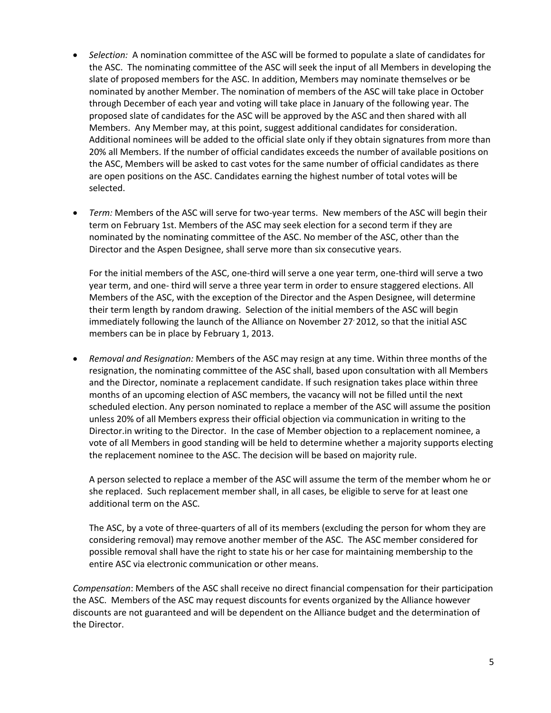- *Selection:* A nomination committee of the ASC will be formed to populate a slate of candidates for the ASC. The nominating committee of the ASC will seek the input of all Members in developing the slate of proposed members for the ASC. In addition, Members may nominate themselves or be nominated by another Member. The nomination of members of the ASC will take place in October through December of each year and voting will take place in January of the following year. The proposed slate of candidates for the ASC will be approved by the ASC and then shared with all Members. Any Member may, at this point, suggest additional candidates for consideration. Additional nominees will be added to the official slate only if they obtain signatures from more than 20% all Members. If the number of official candidates exceeds the number of available positions on the ASC, Members will be asked to cast votes for the same number of official candidates as there are open positions on the ASC. Candidates earning the highest number of total votes will be selected.
- *Term:* Members of the ASC will serve for two-year terms. New members of the ASC will begin their term on February 1st. Members of the ASC may seek election for a second term if they are nominated by the nominating committee of the ASC. No member of the ASC, other than the Director and the Aspen Designee, shall serve more than six consecutive years.

For the initial members of the ASC, one-third will serve a one year term, one-third will serve a two year term, and one- third will serve a three year term in order to ensure staggered elections. All Members of the ASC, with the exception of the Director and the Aspen Designee, will determine their term length by random drawing. Selection of the initial members of the ASC will begin immediately following the launch of the Alliance on November 27' 2012, so that the initial ASC members can be in place by February 1, 2013.

 *Removal and Resignation:* Members of the ASC may resign at any time. Within three months of the resignation, the nominating committee of the ASC shall, based upon consultation with all Members and the Director, nominate a replacement candidate. If such resignation takes place within three months of an upcoming election of ASC members, the vacancy will not be filled until the next scheduled election. Any person nominated to replace a member of the ASC will assume the position unless 20% of all Members express their official objection via communication in writing to the Director.in writing to the Director. In the case of Member objection to a replacement nominee, a vote of all Members in good standing will be held to determine whether a majority supports electing the replacement nominee to the ASC. The decision will be based on majority rule.

A person selected to replace a member of the ASC will assume the term of the member whom he or she replaced. Such replacement member shall, in all cases, be eligible to serve for at least one additional term on the ASC.

The ASC, by a vote of three-quarters of all of its members (excluding the person for whom they are considering removal) may remove another member of the ASC. The ASC member considered for possible removal shall have the right to state his or her case for maintaining membership to the entire ASC via electronic communication or other means.

*Compensation*: Members of the ASC shall receive no direct financial compensation for their participation the ASC. Members of the ASC may request discounts for events organized by the Alliance however discounts are not guaranteed and will be dependent on the Alliance budget and the determination of the Director.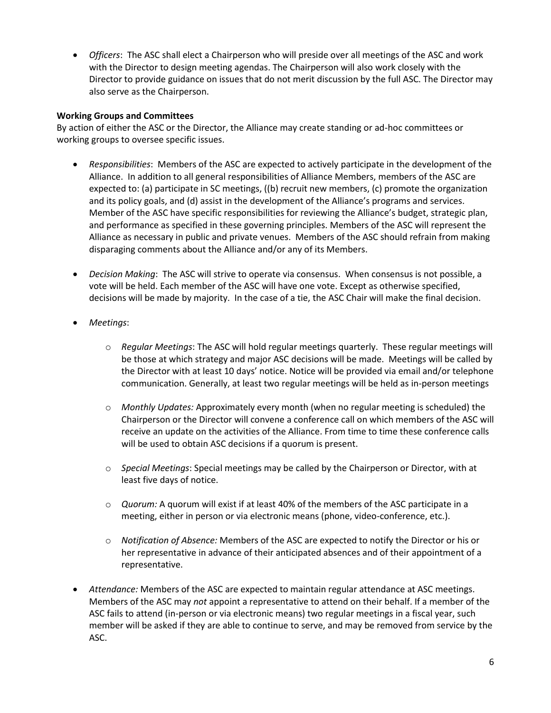*Officers*: The ASC shall elect a Chairperson who will preside over all meetings of the ASC and work with the Director to design meeting agendas. The Chairperson will also work closely with the Director to provide guidance on issues that do not merit discussion by the full ASC. The Director may also serve as the Chairperson.

## **Working Groups and Committees**

By action of either the ASC or the Director, the Alliance may create standing or ad-hoc committees or working groups to oversee specific issues.

- *Responsibilities*: Members of the ASC are expected to actively participate in the development of the Alliance. In addition to all general responsibilities of Alliance Members, members of the ASC are expected to: (a) participate in SC meetings, ((b) recruit new members, (c) promote the organization and its policy goals, and (d) assist in the development of the Alliance's programs and services. Member of the ASC have specific responsibilities for reviewing the Alliance's budget, strategic plan, and performance as specified in these governing principles. Members of the ASC will represent the Alliance as necessary in public and private venues. Members of the ASC should refrain from making disparaging comments about the Alliance and/or any of its Members.
- *Decision Making*: The ASC will strive to operate via consensus. When consensus is not possible, a vote will be held. Each member of the ASC will have one vote. Except as otherwise specified, decisions will be made by majority. In the case of a tie, the ASC Chair will make the final decision.
- *Meetings*:
	- o *Regular Meetings*: The ASC will hold regular meetings quarterly. These regular meetings will be those at which strategy and major ASC decisions will be made. Meetings will be called by the Director with at least 10 days' notice. Notice will be provided via email and/or telephone communication. Generally, at least two regular meetings will be held as in-person meetings
	- o *Monthly Updates:* Approximately every month (when no regular meeting is scheduled) the Chairperson or the Director will convene a conference call on which members of the ASC will receive an update on the activities of the Alliance. From time to time these conference calls will be used to obtain ASC decisions if a quorum is present.
	- o *Special Meetings*: Special meetings may be called by the Chairperson or Director, with at least five days of notice.
	- o *Quorum:* A quorum will exist if at least 40% of the members of the ASC participate in a meeting, either in person or via electronic means (phone, video-conference, etc.).
	- o *Notification of Absence:* Members of the ASC are expected to notify the Director or his or her representative in advance of their anticipated absences and of their appointment of a representative.
- *Attendance:* Members of the ASC are expected to maintain regular attendance at ASC meetings. Members of the ASC may *not* appoint a representative to attend on their behalf. If a member of the ASC fails to attend (in-person or via electronic means) two regular meetings in a fiscal year, such member will be asked if they are able to continue to serve, and may be removed from service by the ASC.